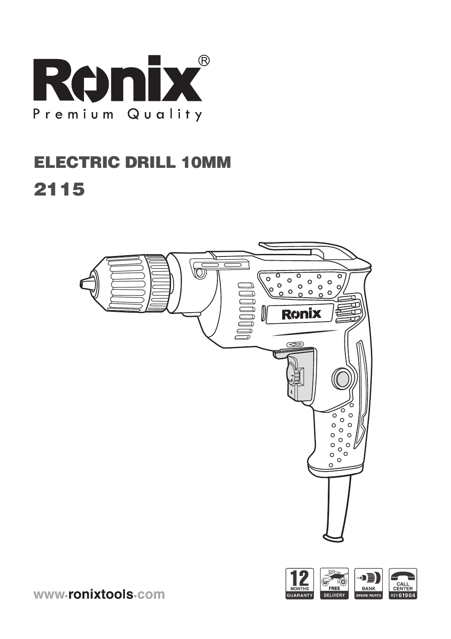

# **ELECTRIC DRILL 10MM** 2115





www-ronixtools-com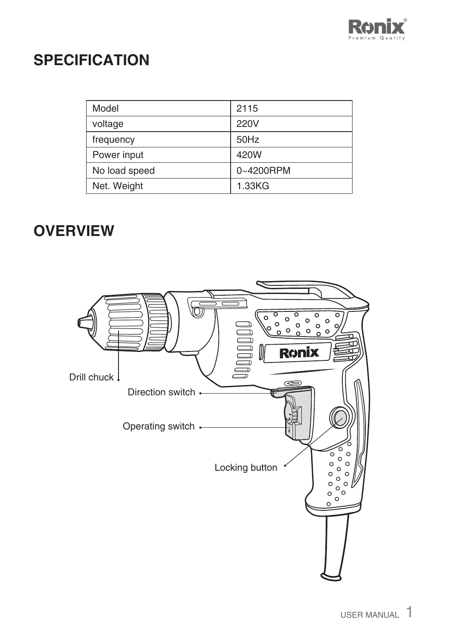

#### **SPECIFICATION**

| Model         | 2115      |
|---------------|-----------|
| voltage       | 220V      |
| frequency     | 50Hz      |
| Power input   | 420W      |
| No load speed | 0~4200RPM |
| Net. Weight   | 1.33KG    |

#### **OVERVIEW**

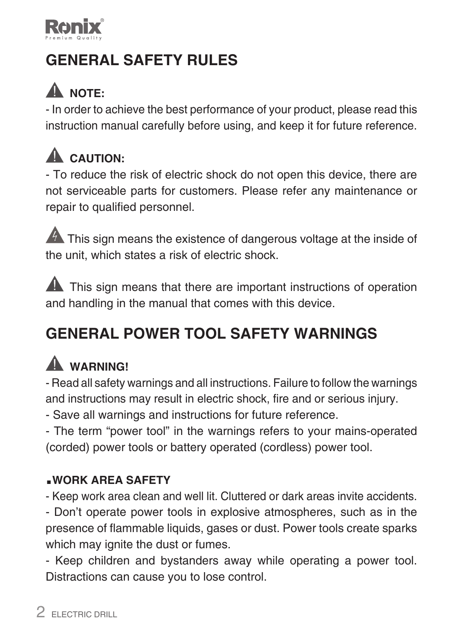

# **GENERAL SAFETY RULES**

# **A** NOTE:

- In order to achieve the best performance of your product, please read this instruction manual carefully before using, and keep it for future reference.

# A CAUTION:

- To reduce the risk of electric shock do not open this device, there are not serviceable parts for customers. Please refer any maintenance or repair to qualified personnel.

**This sign means the existence of dangerous voltage at the inside of** the unit, which states a risk of electric shock.

**A** This sign means that there are important instructions of operation and handling in the manual that comes with this device.

# **GENERAL POWER TOOL SAFETY WARNINGS**

# **AL WARNING!**

- Read all safety warnings and all instructions. Failure to follow the warnings and instructions may result in electric shock, fire and or serious injury.

- Save all warnings and instructions for future reference.

- The term "power tool" in the warnings refers to your mains-operated (corded) power tools or battery operated (cordless) power tool.

#### **.WORK AREA SAFETY**

- Keep work area clean and well lit. Cluttered or dark areas invite accidents.

- Don't operate power tools in explosive atmospheres, such as in the presence of flammable liquids, gases or dust. Power tools create sparks which may ignite the dust or fumes.

- Keep children and bystanders away while operating a power tool. Distractions can cause you to lose control.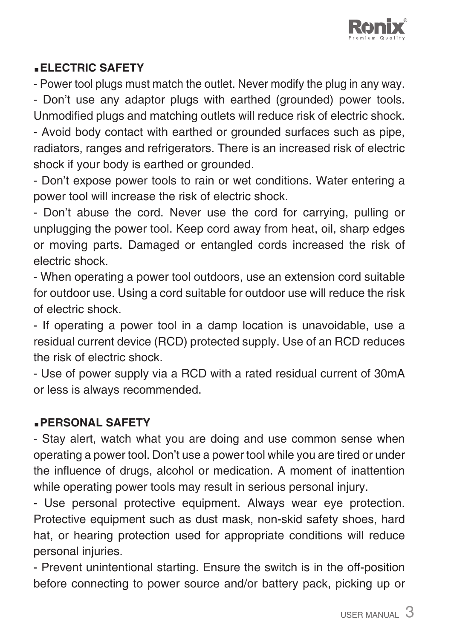

#### **.ELECTRIC SAFETY**

- Power tool plugs must match the outlet. Never modify the plug in any way.

- Don't use any adaptor plugs with earthed (grounded) power tools. Unmodified plugs and matching outlets will reduce risk of electric shock.

- Avoid body contact with earthed or grounded surfaces such as pipe, radiators, ranges and refrigerators. There is an increased risk of electric shock if your body is earthed or grounded.

- Don't expose power tools to rain or wet conditions. Water entering a power tool will increase the risk of electric shock.

- Don't abuse the cord. Never use the cord for carrying, pulling or unplugging the power tool. Keep cord away from heat, oil, sharp edges or moving parts. Damaged or entangled cords increased the risk of electric shock.

- When operating a power tool outdoors, use an extension cord suitable for outdoor use. Using a cord suitable for outdoor use will reduce the risk of electric shock.

- If operating a power tool in a damp location is unavoidable, use a residual current device (RCD) protected supply. Use of an RCD reduces the risk of electric shock.

- Use of power supply via a RCD with a rated residual current of 30mA or less is always recommended.

#### **.PERSONAL SAFETY**

- Stay alert, watch what you are doing and use common sense when operating a power tool. Don't use a power tool while you are tired or under the influence of drugs, alcohol or medication. A moment of inattention while operating power tools may result in serious personal injury.

- Use personal protective equipment. Always wear eye protection. Protective equipment such as dust mask, non-skid safety shoes, hard hat, or hearing protection used for appropriate conditions will reduce personal injuries.

- Prevent unintentional starting. Ensure the switch is in the off-position before connecting to power source and/or battery pack, picking up or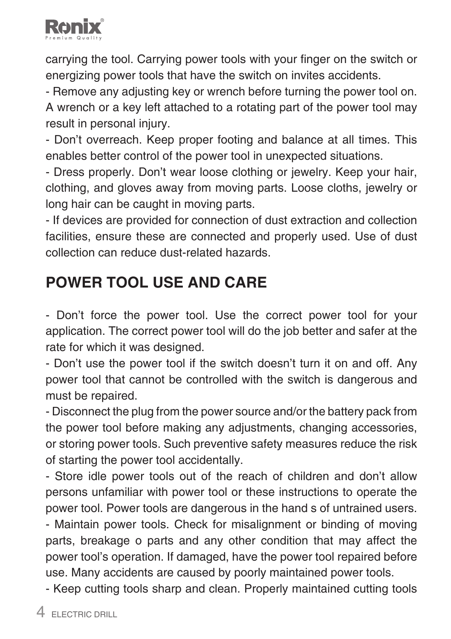

carrying the tool. Carrying power tools with your finger on the switch or energizing power tools that have the switch on invites accidents.

- Remove any adjusting key or wrench before turning the power tool on.

A wrench or a key left attached to a rotating part of the power tool may result in personal injury.

- Don't overreach. Keep proper footing and balance at all times. This enables better control of the power tool in unexpected situations.

- Dress properly. Don't wear loose clothing or jewelry. Keep your hair, clothing, and gloves away from moving parts. Loose cloths, jewelry or long hair can be caught in moving parts.

- If devices are provided for connection of dust extraction and collection facilities, ensure these are connected and properly used. Use of dust collection can reduce dust-related hazards.

## **POWER TOOL USE AND CARE**

- Don't force the power tool. Use the correct power tool for your application. The correct power tool will do the job better and safer at the rate for which it was designed.

- Don't use the power tool if the switch doesn't turn it on and off. Any power tool that cannot be controlled with the switch is dangerous and must be repaired.

- Disconnect the plug from the power source and/or the battery pack from the power tool before making any adjustments, changing accessories, or storing power tools. Such preventive safety measures reduce the risk of starting the power tool accidentally.

- Store idle power tools out of the reach of children and don't allow persons unfamiliar with power tool or these instructions to operate the power tool. Power tools are dangerous in the hand s of untrained users.

- Maintain power tools. Check for misalignment or binding of moving parts, breakage o parts and any other condition that may affect the power tool's operation. If damaged, have the power tool repaired before use. Many accidents are caused by poorly maintained power tools.

- Keep cutting tools sharp and clean. Properly maintained cutting tools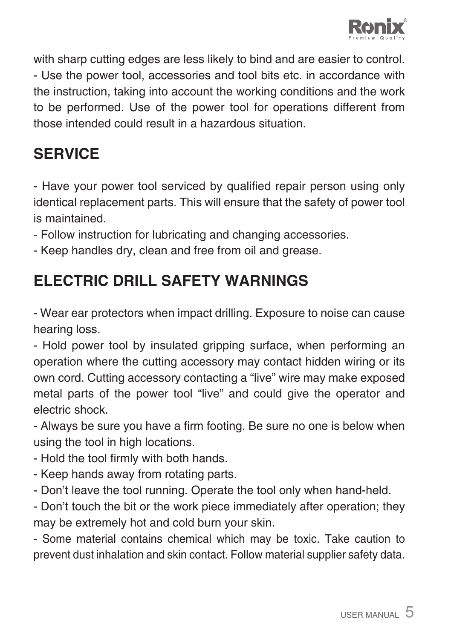

with sharp cutting edges are less likely to bind and are easier to control. - Use the power tool, accessories and tool bits etc. in accordance with the instruction, taking into account the working conditions and the work to be performed. Use of the power tool for operations different from those intended could result in a hazardous situation.

### **SERVICE**

- Have your power tool serviced by qualified repair person using only identical replacement parts. This will ensure that the safety of power tool is maintained.

- Follow instruction for lubricating and changing accessories.

- Keep handles dry, clean and free from oil and grease.

### **ELECTRIC DRILL SAFETY WARNINGS**

- Wear ear protectors when impact drilling. Exposure to noise can cause hearing loss.

- Hold power tool by insulated gripping surface, when performing an operation where the cutting accessory may contact hidden wiring or its own cord. Cutting accessory contacting a "live" wire may make exposed metal parts of the power tool "live" and could give the operator and electric shock.

- Always be sure you have a firm footing. Be sure no one is below when using the tool in high locations.

- Hold the tool firmly with both hands.
- Keep hands away from rotating parts.
- Don't leave the tool running. Operate the tool only when hand-held.
- Don't touch the bit or the work piece immediately after operation; they may be extremely hot and cold burn your skin.

- Some material contains chemical which may be toxic. Take caution to prevent dust inhalation and skin contact. Follow material supplier safety data.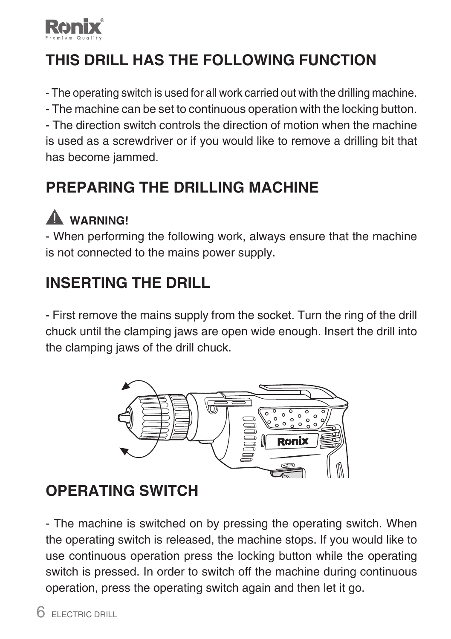

# **THIS DRILL HAS THE FOLLOWING FUNCTION**

- The operating switch is used for all work carried out with the drilling machine.

- The machine can be set to continuous operation with the locking button.

- The direction switch controls the direction of motion when the machine is used as a screwdriver or if you would like to remove a drilling bit that has become jammed.

### **PREPARING THE DRILLING MACHINE**

# **WARNING!**

- When performing the following work, always ensure that the machine is not connected to the mains power supply.

## **INSERTING THE DRILL**

- First remove the mains supply from the socket. Turn the ring of the drill chuck until the clamping jaws are open wide enough. Insert the drill into the clamping jaws of the drill chuck.



### **OPERATING SWITCH**

- The machine is switched on by pressing the operating switch. When the operating switch is released, the machine stops. If you would like to use continuous operation press the locking button while the operating switch is pressed. In order to switch off the machine during continuous operation, press the operating switch again and then let it go.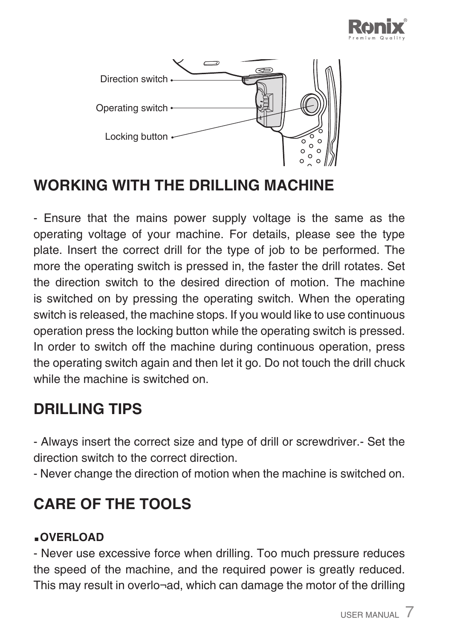



#### **WORKING WITH THE DRILLING MACHINE**

- Ensure that the mains power supply voltage is the same as the operating voltage of your machine. For details, please see the type plate. Insert the correct drill for the type of job to be performed. The more the operating switch is pressed in, the faster the drill rotates. Set the direction switch to the desired direction of motion. The machine is switched on by pressing the operating switch. When the operating switch is released, the machine stops. If you would like to use continuous operation press the locking button while the operating switch is pressed. In order to switch off the machine during continuous operation, press the operating switch again and then let it go. Do not touch the drill chuck while the machine is switched on.

#### **DRILLING TIPS**

- Always insert the correct size and type of drill or screwdriver.- Set the direction switch to the correct direction.

- Never change the direction of motion when the machine is switched on.

### **CARE OF THE TOOLS**

#### **.OVERLOAD**

- Never use excessive force when drilling. Too much pressure reduces the speed of the machine, and the required power is greatly reduced. This may result in overlo¬ad, which can damage the motor of the drilling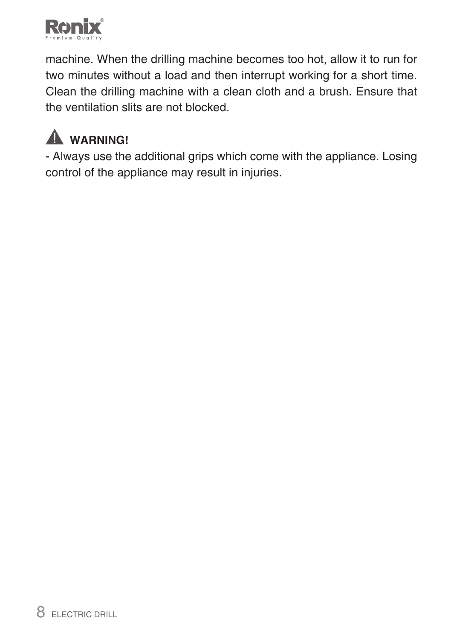

machine. When the drilling machine becomes too hot, allow it to run for two minutes without a load and then interrupt working for a short time. Clean the drilling machine with a clean cloth and a brush. Ensure that the ventilation slits are not blocked.

# **WARNING!**

- Always use the additional grips which come with the appliance. Losing control of the appliance may result in injuries.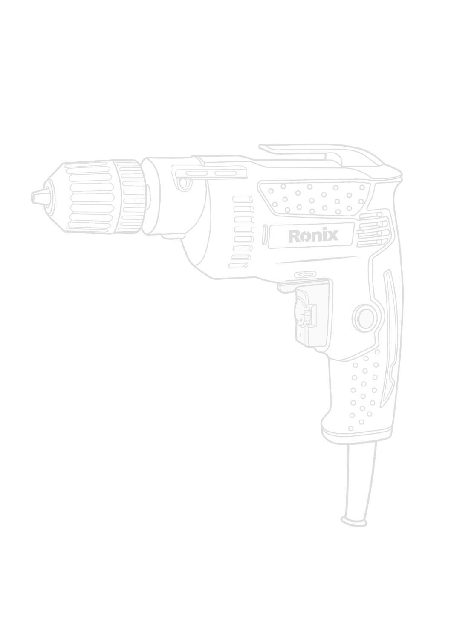